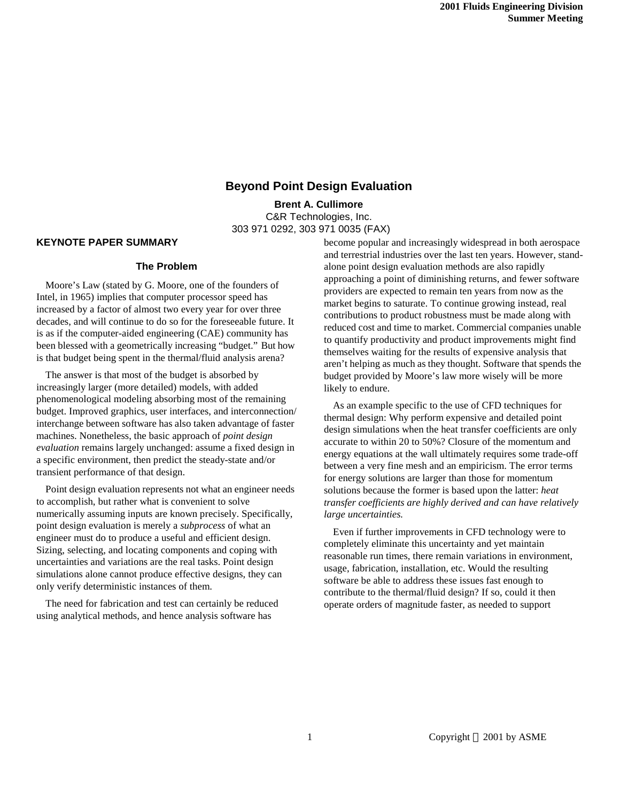# **Beyond Point Design Evaluation**

**Brent A. Cullimore** C&R Technologies, Inc. 303 971 0292, 303 971 0035 (FAX)

### **KEYNOTE PAPER SUMMARY**

## **The Problem**

Moore's Law (stated by G. Moore, one of the founders of Intel, in 1965) implies that computer processor speed has increased by a factor of almost two every year for over three decades, and will continue to do so for the foreseeable future. It is as if the computer-aided engineering (CAE) community has been blessed with a geometrically increasing "budget." But how is that budget being spent in the thermal/fluid analysis arena?

The answer is that most of the budget is absorbed by increasingly larger (more detailed) models, with added phenomenological modeling absorbing most of the remaining budget. Improved graphics, user interfaces, and interconnection/ interchange between software has also taken advantage of faster machines. Nonetheless, the basic approach of *point design evaluation* remains largely unchanged: assume a fixed design in a specific environment, then predict the steady-state and/or transient performance of that design.

Point design evaluation represents not what an engineer needs to accomplish, but rather what is convenient to solve numerically assuming inputs are known precisely. Specifically, point design evaluation is merely a *subprocess* of what an engineer must do to produce a useful and efficient design. Sizing, selecting, and locating components and coping with uncertainties and variations are the real tasks. Point design simulations alone cannot produce effective designs, they can only verify deterministic instances of them.

The need for fabrication and test can certainly be reduced using analytical methods, and hence analysis software has

become popular and increasingly widespread in both aerospace and terrestrial industries over the last ten years. However, standalone point design evaluation methods are also rapidly approaching a point of diminishing returns, and fewer software providers are expected to remain ten years from now as the market begins to saturate. To continue growing instead, real contributions to product robustness must be made along with reduced cost and time to market. Commercial companies unable to quantify productivity and product improvements might find themselves waiting for the results of expensive analysis that aren't helping as much as they thought. Software that spends the budget provided by Moore's law more wisely will be more likely to endure.

As an example specific to the use of CFD techniques for thermal design: Why perform expensive and detailed point design simulations when the heat transfer coefficients are only accurate to within 20 to 50%? Closure of the momentum and energy equations at the wall ultimately requires some trade-off between a very fine mesh and an empiricism. The error terms for energy solutions are larger than those for momentum solutions because the former is based upon the latter: *heat transfer coefficients are highly derived and can have relatively large uncertainties.*

Even if further improvements in CFD technology were to completely eliminate this uncertainty and yet maintain reasonable run times, there remain variations in environment, usage, fabrication, installation, etc. Would the resulting software be able to address these issues fast enough to contribute to the thermal/fluid design? If so, could it then operate orders of magnitude faster, as needed to support